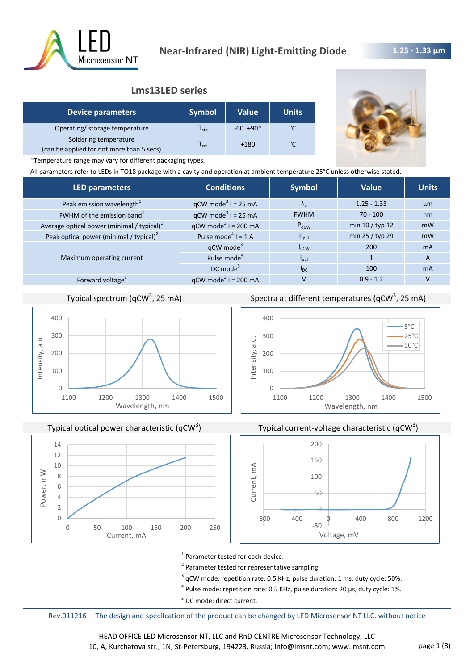

# **1.25 - 1.33 μm**

# **Lms13LED series**

| <b>Device parameters</b>                                           | <b>Symbol</b> | <b>Value</b> | <b>Units</b> |
|--------------------------------------------------------------------|---------------|--------------|--------------|
| Operating/ storage temperature                                     | $s$ tg        | $-60.+90*$   |              |
| Soldering temperature<br>(can be applied for not more than 5 secs) | sol           | $+180$       | °۴           |



\*Temperature range may vary for different packaging types.

All parameters refer to LEDs in TO18 package with a cavity and operation at ambient temperature 25°C unless otherwise stated.

| <b>LED parameters</b>                         | <b>Conditions</b>                 | <b>Symbol</b>     | Value           | <b>Units</b> |
|-----------------------------------------------|-----------------------------------|-------------------|-----------------|--------------|
| Peak emission wavelength <sup>1</sup>         | $qCW \text{ mode}^3$ I = 25 mA    | $\Lambda_{\rm n}$ | $1.25 - 1.33$   | µm           |
| FWHM of the emission band <sup>1</sup>        | $qCW \text{ mode}^3$ I = 25 mA    | <b>FWHM</b>       | $70 - 100$      | nm           |
| Average optical power (minimal / typical) $1$ | $qCW \text{ mode}^3$ I = 200 mA   | $P_{\text{qCW}}$  | min 10 / typ 12 | mW           |
| Peak optical power (minimal / typical) $2$    | Pulse mode <sup>4</sup> $I = 1$ A | $P_{\text{pul}}$  | min 25 / typ 29 | mW           |
|                                               | qCW mode <sup>3</sup>             | $I_{\rm qCW}$     | 200             | <b>mA</b>    |
| Maximum operating current                     | Pulse mode <sup>4</sup>           | $I_{\text{pul}}$  |                 | A            |
|                                               | $DC$ mode <sup>5</sup>            | $I_{DC}$          | 100             | <b>mA</b>    |
| Forward voltage <sup>1</sup>                  | $qCW \text{ mode}^3$ I = 200 mA   | v                 | $0.9 - 1.2$     |              |
|                                               |                                   |                   |                 |              |

# Typical spectrum (qCW<sup>3</sup>, 25 mA)



Typical optical power characteristic (qCW<sup>3</sup>)



Spectra at different temperatures (qCW<sup>3</sup>, 25 mA)







<sup>1</sup> Parameter tested for each device.

<sup>2</sup> Parameter tested for representative sampling.

 $3$  qCW mode: repetition rate: 0.5 KHz, pulse duration: 1 ms, duty cycle: 50%.

 $^4$  Pulse mode: repetition rate: 0.5 KHz, pulse duration: 20 µs, duty cycle: 1%.

<sup>5</sup> DC mode: direct current.

Rev.011216 The design and specifcation of the product can be changed by LED Microsensor NT LLC. without notice

HEAD OFFICE LED Microsensor NT, LLC and RnD CENTRE Microsensor Technology, LLC 10, A, Kurchatova str., 1N, St-Petersburg, 194223, Russia; info@lmsnt.com; www.lmsnt.com page 1 (8)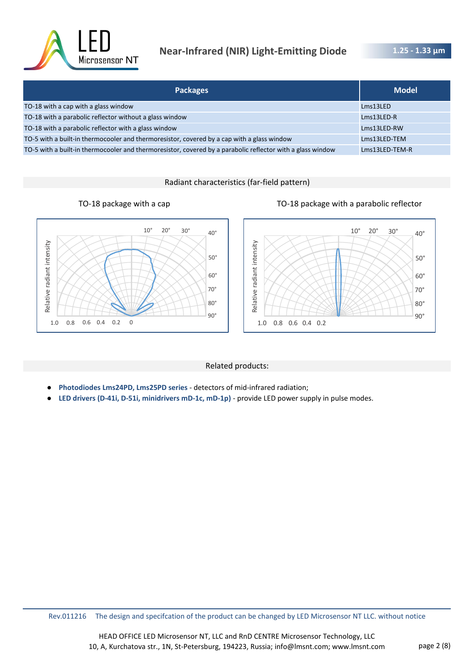

# **Near-Infrared (NIR) Light-Emitting Diode**

**1.25 - 1.33 μm** 

| <b>Packages</b>                                                                                            | <b>Model</b>   |
|------------------------------------------------------------------------------------------------------------|----------------|
| TO-18 with a cap with a glass window                                                                       | Lms13LED       |
| TO-18 with a parabolic reflector without a glass window                                                    | $Lms13LED-R$   |
| TO-18 with a parabolic reflector with a glass window                                                       | Lms13LED-RW    |
| TO-5 with a built-in thermocooler and thermoresistor, covered by a cap with a glass window                 | Lms13LED-TEM   |
| TO-5 with a built-in thermocooler and thermoresistor, covered by a parabolic reflector with a glass window | Lms13LED-TEM-R |

Radiant characteristics (far-field pattern)





#### Related products:

- **Photodiodes Lms24PD, Lms25PD series**  detectors of mid-infrared radiation;
- LED drivers (D-41i, D-51i, minidrivers mD-1c, mD-1p) provide LED power supply in pulse modes.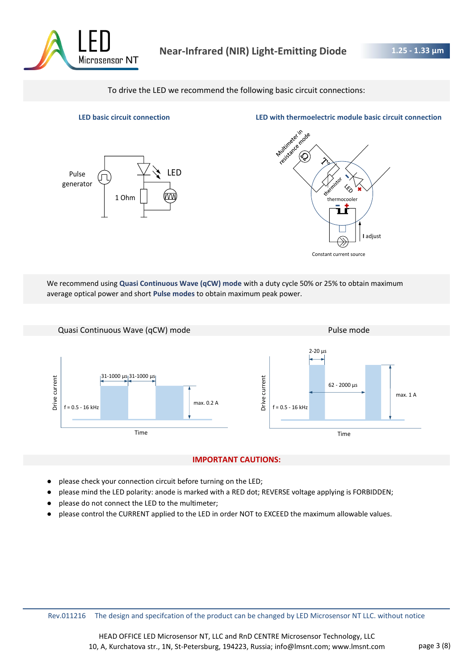

To drive the LED we recommend the following basic circuit connections:



**LED basic circuit connection LED with thermoelectric module basic circuit connection**



We recommend using **Quasi Continuous Wave (qCW) mode** with a duty cycle 50% or 25% to obtain maximum average optical power and short **Pulse modes** to obtain maximum peak power.



#### **IMPORTANT CAUTIONS:**

- please check your connection circuit before turning on the LED;
- please mind the LED polarity: anode is marked with a RED dot; REVERSE voltage applying is FORBIDDEN;
- please do not connect the LED to the multimeter;
- please control the CURRENT applied to the LED in order NOT to EXCEED the maximum allowable values.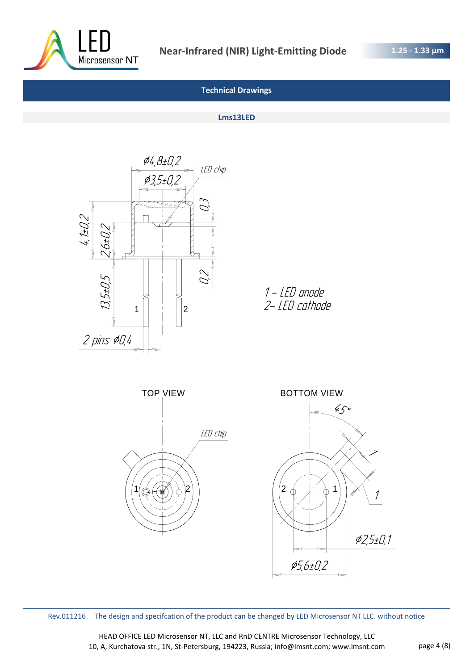

#### **Lms13LED**



1 - LED anode 2- LED cathode



Rev.011216 The design and specifcation of the product can be changed by LED Microsensor NT LLC. without notice

HEAD OFFICE LED Microsensor NT, LLC and RnD CENTRE Microsensor Technology, LLC 10, A, Kurchatova str., 1N, St-Petersburg, 194223, Russia; info@lmsnt.com; www.lmsnt.com page 4 (8)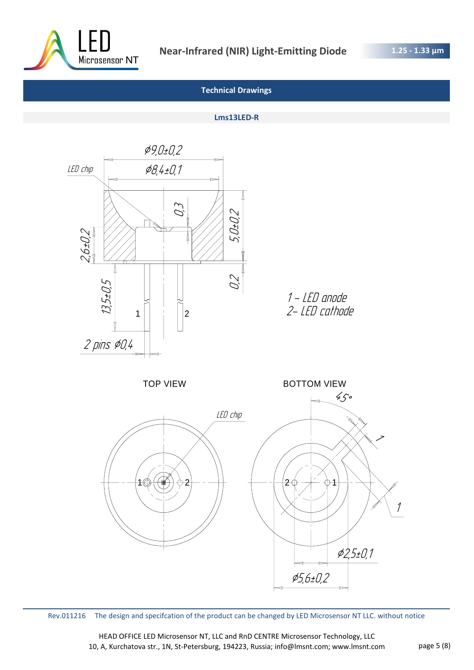

# **Lms13LED-R**



Rev.011216 The design and specifcation of the product can be changed by LED Microsensor NT LLC. without notice

HEAD OFFICE LED Microsensor NT, LLC and RnD CENTRE Microsensor Technology, LLC 10, A, Kurchatova str., 1N, St-Petersburg, 194223, Russia; info@lmsnt.com; www.lmsnt.com page 5 (8)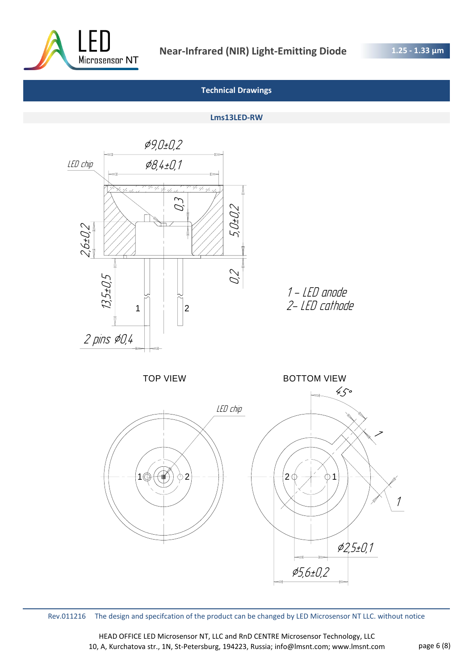

#### **Lms13LED-RW**



Rev.011216 The design and specifcation of the product can be changed by LED Microsensor NT LLC. without notice

HEAD OFFICE LED Microsensor NT, LLC and RnD CENTRE Microsensor Technology, LLC 10, A, Kurchatova str., 1N, St-Petersburg, 194223, Russia; info@lmsnt.com; www.lmsnt.com page 6 (8)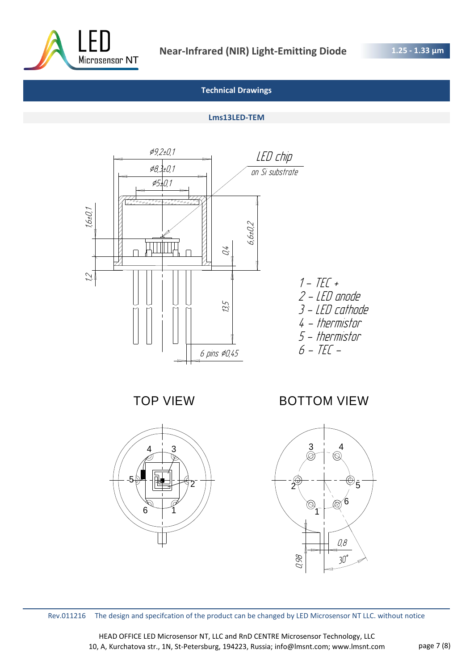

### **Lms13LED-TEM**



TOP VIEW



BOTTOM VIEW



Rev.011216 The design and specifcation of the product can be changed by LED Microsensor NT LLC. without notice

HEAD OFFICE LED Microsensor NT, LLC and RnD CENTRE Microsensor Technology, LLC 10, A, Kurchatova str., 1N, St-Petersburg, 194223, Russia; info@lmsnt.com; www.lmsnt.com page 7 (8)